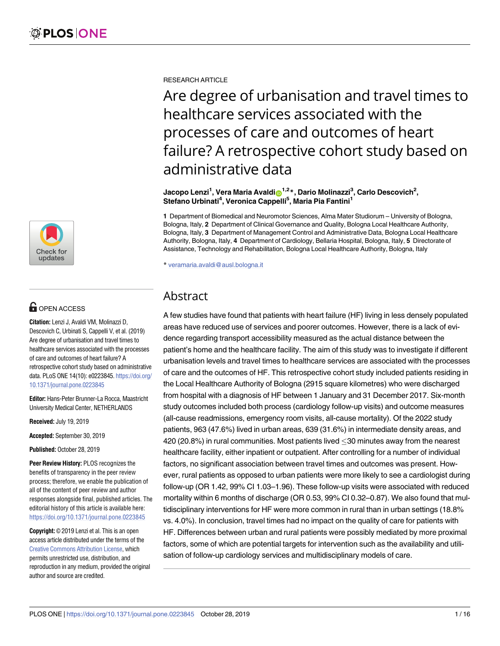

# $\blacksquare$  OPEN ACCESS

**Citation:** Lenzi J, Avaldi VM, Molinazzi D, Descovich C, Urbinati S, Cappelli V, et al. (2019) Are degree of urbanisation and travel times to healthcare services associated with the processes of care and outcomes of heart failure? A retrospective cohort study based on administrative data. PLoS ONE 14(10): e0223845. [https://doi.org/](https://doi.org/10.1371/journal.pone.0223845) [10.1371/journal.pone.0223845](https://doi.org/10.1371/journal.pone.0223845)

**Editor:** Hans-Peter Brunner-La Rocca, Maastricht University Medical Center, NETHERLANDS

**Received:** July 19, 2019

**Accepted:** September 30, 2019

**Published:** October 28, 2019

**Peer Review History:** PLOS recognizes the benefits of transparency in the peer review process; therefore, we enable the publication of all of the content of peer review and author responses alongside final, published articles. The editorial history of this article is available here: <https://doi.org/10.1371/journal.pone.0223845>

**Copyright:** © 2019 Lenzi et al. This is an open access article distributed under the terms of the Creative Commons [Attribution](http://creativecommons.org/licenses/by/4.0/) License, which permits unrestricted use, distribution, and reproduction in any medium, provided the original author and source are credited.

RESEARCH ARTICLE

Are degree of urbanisation and travel times to healthcare services associated with the processes of care and outcomes of heart failure? A retrospective cohort study based on administrative data

 $\bm{b}$  Jacopo Lenzi<sup>1</sup>, Vera Maria Avaldi $\bm{\mathbb{\Theta}}^{1,2}$ \*, Dario Molinazzi<sup>3</sup>, Carlo Descovich<sup>2</sup>, **Stefano Urbinati4 , Veronica Cappelli5 , Maria Pia Fantini1**

**1** Department of Biomedical and Neuromotor Sciences, Alma Mater Studiorum – University of Bologna, Bologna, Italy, 2 Department of Clinical Governance and Quality, Bologna Local Healthcare Authority, Bologna, Italy, **3** Department of Management Control and Administrative Data, Bologna Local Healthcare Authority, Bologna, Italy, **4** Department of Cardiology, Bellaria Hospital, Bologna, Italy, **5** Directorate of Assistance, Technology and Rehabilitation, Bologna Local Healthcare Authority, Bologna, Italy

\* veramaria.avaldi@ausl.bologna.it

# Abstract

A few studies have found that patients with heart failure (HF) living in less densely populated areas have reduced use of services and poorer outcomes. However, there is a lack of evidence regarding transport accessibility measured as the actual distance between the patient's home and the healthcare facility. The aim of this study was to investigate if different urbanisation levels and travel times to healthcare services are associated with the processes of care and the outcomes of HF. This retrospective cohort study included patients residing in the Local Healthcare Authority of Bologna (2915 square kilometres) who were discharged from hospital with a diagnosis of HF between 1 January and 31 December 2017. Six-month study outcomes included both process (cardiology follow-up visits) and outcome measures (all-cause readmissions, emergency room visits, all-cause mortality). Of the 2022 study patients, 963 (47.6%) lived in urban areas, 639 (31.6%) in intermediate density areas, and 420 (20.8%) in rural communities. Most patients lived  $<$ 30 minutes away from the nearest healthcare facility, either inpatient or outpatient. After controlling for a number of individual factors, no significant association between travel times and outcomes was present. However, rural patients as opposed to urban patients were more likely to see a cardiologist during follow-up (OR 1.42, 99% CI 1.03–1.96). These follow-up visits were associated with reduced mortality within 6 months of discharge (OR 0.53, 99% CI 0.32–0.87). We also found that multidisciplinary interventions for HF were more common in rural than in urban settings (18.8% vs. 4.0%). In conclusion, travel times had no impact on the quality of care for patients with HF. Differences between urban and rural patients were possibly mediated by more proximal factors, some of which are potential targets for intervention such as the availability and utilisation of follow-up cardiology services and multidisciplinary models of care.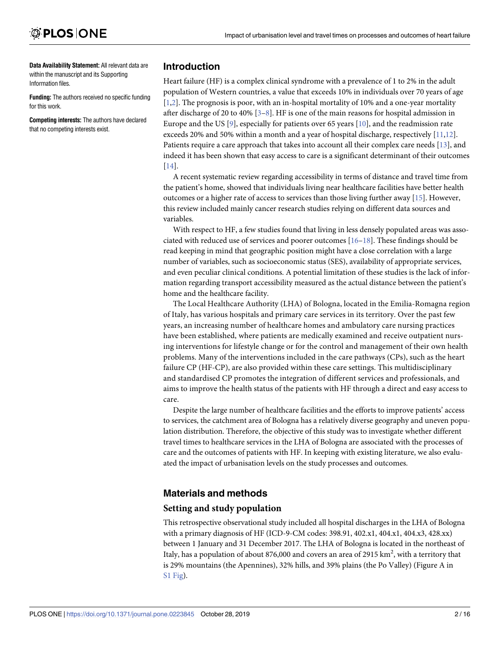<span id="page-1-0"></span>**Data Availability Statement:** All relevant data are within the manuscript and its Supporting Information files.

**Funding:** The authors received no specific funding for this work.

**Competing interests:** The authors have declared that no competing interests exist.

# **Introduction**

Heart failure (HF) is a complex clinical syndrome with a prevalence of 1 to 2% in the adult population of Western countries, a value that exceeds 10% in individuals over 70 years of age [\[1,2](#page-13-0)]. The prognosis is poor, with an in-hospital mortality of 10% and a one-year mortality after discharge of 20 to 40% [\[3–8](#page-13-0)]. HF is one of the main reasons for hospital admission in Europe and the US [\[9\]](#page-13-0), especially for patients over 65 years [[10](#page-13-0)], and the readmission rate exceeds 20% and 50% within a month and a year of hospital discharge, respectively [[11](#page-13-0),[12](#page-13-0)]. Patients require a care approach that takes into account all their complex care needs [\[13\]](#page-13-0), and indeed it has been shown that easy access to care is a significant determinant of their outcomes [\[14\]](#page-13-0).

A recent systematic review regarding accessibility in terms of distance and travel time from the patient's home, showed that individuals living near healthcare facilities have better health outcomes or a higher rate of access to services than those living further away [\[15\]](#page-13-0). However, this review included mainly cancer research studies relying on different data sources and variables.

With respect to HF, a few studies found that living in less densely populated areas was associated with reduced use of services and poorer outcomes [[16–18\]](#page-14-0). These findings should be read keeping in mind that geographic position might have a close correlation with a large number of variables, such as socioeconomic status (SES), availability of appropriate services, and even peculiar clinical conditions. A potential limitation of these studies is the lack of information regarding transport accessibility measured as the actual distance between the patient's home and the healthcare facility.

The Local Healthcare Authority (LHA) of Bologna, located in the Emilia-Romagna region of Italy, has various hospitals and primary care services in its territory. Over the past few years, an increasing number of healthcare homes and ambulatory care nursing practices have been established, where patients are medically examined and receive outpatient nursing interventions for lifestyle change or for the control and management of their own health problems. Many of the interventions included in the care pathways (CPs), such as the heart failure CP (HF-CP), are also provided within these care settings. This multidisciplinary and standardised CP promotes the integration of different services and professionals, and aims to improve the health status of the patients with HF through a direct and easy access to care.

Despite the large number of healthcare facilities and the efforts to improve patients' access to services, the catchment area of Bologna has a relatively diverse geography and uneven population distribution. Therefore, the objective of this study was to investigate whether different travel times to healthcare services in the LHA of Bologna are associated with the processes of care and the outcomes of patients with HF. In keeping with existing literature, we also evaluated the impact of urbanisation levels on the study processes and outcomes.

# **Materials and methods**

## **Setting and study population**

This retrospective observational study included all hospital discharges in the LHA of Bologna with a primary diagnosis of HF (ICD-9-CM codes: 398.91, 402.x1, 404.x1, 404.x3, 428.xx) between 1 January and 31 December 2017. The LHA of Bologna is located in the northeast of Italy, has a population of about 876,000 and covers an area of 2915  $\rm km^2$ , with a territory that is 29% mountains (the Apennines), 32% hills, and 39% plains (the Po Valley) (Figure A in S1 [Fig](#page-12-0)).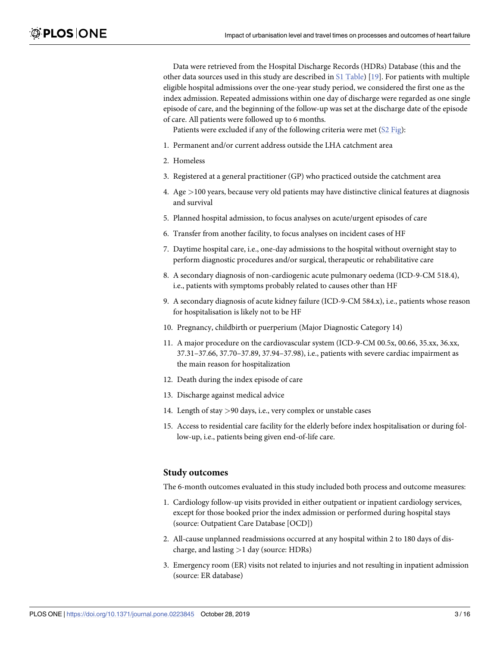<span id="page-2-0"></span>Data were retrieved from the Hospital Discharge Records (HDRs) Database (this and the other data sources used in this study are described in S1 [Table](#page-12-0)) [\[19\]](#page-14-0). For patients with multiple eligible hospital admissions over the one-year study period, we considered the first one as the index admission. Repeated admissions within one day of discharge were regarded as one single episode of care, and the beginning of the follow-up was set at the discharge date of the episode of care. All patients were followed up to 6 months.

Patients were excluded if any of the following criteria were met (S2 [Fig](#page-12-0)):

- 1. Permanent and/or current address outside the LHA catchment area
- 2. Homeless
- 3. Registered at a general practitioner (GP) who practiced outside the catchment area
- 4. Age *>*100 years, because very old patients may have distinctive clinical features at diagnosis and survival
- 5. Planned hospital admission, to focus analyses on acute/urgent episodes of care
- 6. Transfer from another facility, to focus analyses on incident cases of HF
- 7. Daytime hospital care, i.e., one-day admissions to the hospital without overnight stay to perform diagnostic procedures and/or surgical, therapeutic or rehabilitative care
- 8. A secondary diagnosis of non-cardiogenic acute pulmonary oedema (ICD-9-CM 518.4), i.e., patients with symptoms probably related to causes other than HF
- 9. A secondary diagnosis of acute kidney failure (ICD-9-CM 584.x), i.e., patients whose reason for hospitalisation is likely not to be HF
- 10. Pregnancy, childbirth or puerperium (Major Diagnostic Category 14)
- 11. A major procedure on the cardiovascular system (ICD-9-CM 00.5x, 00.66, 35.xx, 36.xx, 37.31–37.66, 37.70–37.89, 37.94–37.98), i.e., patients with severe cardiac impairment as the main reason for hospitalization
- 12. Death during the index episode of care
- 13. Discharge against medical advice
- 14. Length of stay *>*90 days, i.e., very complex or unstable cases
- 15. Access to residential care facility for the elderly before index hospitalisation or during follow-up, i.e., patients being given end-of-life care.

#### **Study outcomes**

The 6-month outcomes evaluated in this study included both process and outcome measures:

- 1. Cardiology follow-up visits provided in either outpatient or inpatient cardiology services, except for those booked prior the index admission or performed during hospital stays (source: Outpatient Care Database [OCD])
- 2. All-cause unplanned readmissions occurred at any hospital within 2 to 180 days of discharge, and lasting *>*1 day (source: HDRs)
- 3. Emergency room (ER) visits not related to injuries and not resulting in inpatient admission (source: ER database)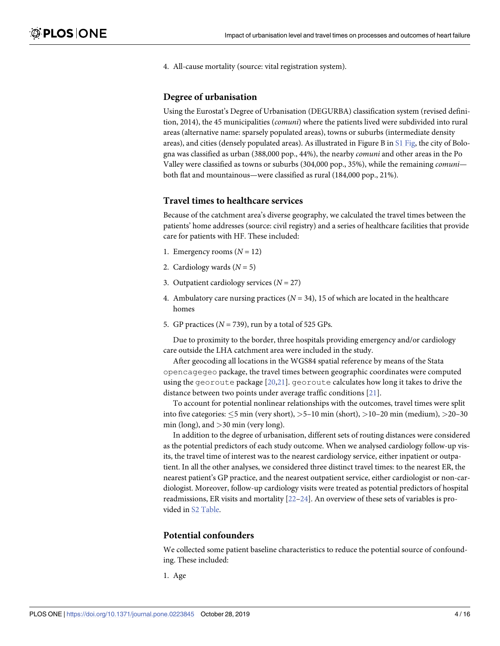<span id="page-3-0"></span>4. All-cause mortality (source: vital registration system).

#### **Degree of urbanisation**

Using the Eurostat's Degree of Urbanisation (DEGURBA) classification system (revised definition, 2014), the 45 municipalities (*comuni*) where the patients lived were subdivided into rural areas (alternative name: sparsely populated areas), towns or suburbs (intermediate density areas), and cities (densely populated areas). As illustrated in Figure B in S1 [Fig](#page-12-0), the city of Bologna was classified as urban (388,000 pop., 44%), the nearby *comuni* and other areas in the Po Valley were classified as towns or suburbs (304,000 pop., 35%), while the remaining *comuni* both flat and mountainous—were classified as rural (184,000 pop., 21%).

#### **Travel times to healthcare services**

Because of the catchment area's diverse geography, we calculated the travel times between the patients' home addresses (source: civil registry) and a series of healthcare facilities that provide care for patients with HF. These included:

- 1. Emergency rooms  $(N = 12)$
- 2. Cardiology wards  $(N = 5)$
- 3. Outpatient cardiology services (*N* = 27)
- 4. Ambulatory care nursing practices  $(N = 34)$ , 15 of which are located in the healthcare homes
- 5. GP practices (*N* = 739), run by a total of 525 GPs.

Due to proximity to the border, three hospitals providing emergency and/or cardiology care outside the LHA catchment area were included in the study.

After geocoding all locations in the WGS84 spatial reference by means of the Stata opencagegeo package, the travel times between geographic coordinates were computed using the georoute package [[20](#page-14-0),[21\]](#page-14-0). georoute calculates how long it takes to drive the distance between two points under average traffic conditions [[21\]](#page-14-0).

To account for potential nonlinear relationships with the outcomes, travel times were split into five categories: �5 min (very short), *>*5–10 min (short), *>*10–20 min (medium), *>*20–30 min (long), and *>*30 min (very long).

In addition to the degree of urbanisation, different sets of routing distances were considered as the potential predictors of each study outcome. When we analysed cardiology follow-up visits, the travel time of interest was to the nearest cardiology service, either inpatient or outpatient. In all the other analyses, we considered three distinct travel times: to the nearest ER, the nearest patient's GP practice, and the nearest outpatient service, either cardiologist or non-cardiologist. Moreover, follow-up cardiology visits were treated as potential predictors of hospital readmissions, ER visits and mortality [\[22–24](#page-14-0)]. An overview of these sets of variables is provided in S2 [Table](#page-12-0).

### **Potential confounders**

We collected some patient baseline characteristics to reduce the potential source of confounding. These included:

1. Age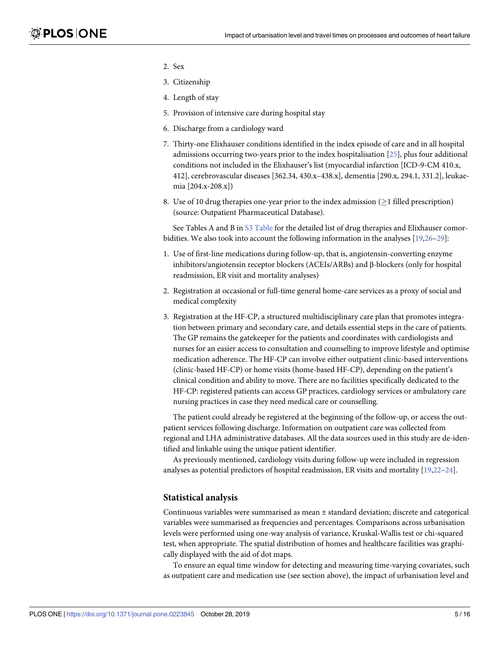- <span id="page-4-0"></span>2. Sex
- 3. Citizenship
- 4. Length of stay
- 5. Provision of intensive care during hospital stay
- 6. Discharge from a cardiology ward
- 7. Thirty-one Elixhauser conditions identified in the index episode of care and in all hospital admissions occurring two-years prior to the index hospitalisation [\[25\]](#page-14-0), plus four additional conditions not included in the Elixhauser's list (myocardial infarction [ICD-9-CM 410.x, 412], cerebrovascular diseases [362.34, 430.x–438.x], dementia [290.x, 294.1, 331.2], leukaemia [204.x-208.x])
- 8. Use of 10 drug therapies one-year prior to the index admission ( $\geq$ 1 filled prescription) (source: Outpatient Pharmaceutical Database).

See Tables A and B in S3 [Table](#page-12-0) for the detailed list of drug therapies and Elixhauser comorbidities. We also took into account the following information in the analyses [\[19,26–29](#page-14-0)]:

- 1. Use of first-line medications during follow-up, that is, angiotensin-converting enzyme inhibitors/angiotensin receptor blockers (ACEIs/ARBs) and β-blockers (only for hospital readmission, ER visit and mortality analyses)
- 2. Registration at occasional or full-time general home-care services as a proxy of social and medical complexity
- 3. Registration at the HF-CP, a structured multidisciplinary care plan that promotes integration between primary and secondary care, and details essential steps in the care of patients. The GP remains the gatekeeper for the patients and coordinates with cardiologists and nurses for an easier access to consultation and counselling to improve lifestyle and optimise medication adherence. The HF-CP can involve either outpatient clinic-based interventions (clinic-based HF-CP) or home visits (home-based HF-CP), depending on the patient's clinical condition and ability to move. There are no facilities specifically dedicated to the HF-CP: registered patients can access GP practices, cardiology services or ambulatory care nursing practices in case they need medical care or counselling.

The patient could already be registered at the beginning of the follow-up, or access the outpatient services following discharge. Information on outpatient care was collected from regional and LHA administrative databases. All the data sources used in this study are de-identified and linkable using the unique patient identifier.

As previously mentioned, cardiology visits during follow-up were included in regression analyses as potential predictors of hospital readmission, ER visits and mortality [\[19](#page-14-0),[22–24\]](#page-14-0).

#### **Statistical analysis**

Continuous variables were summarised as mean  $\pm$  standard deviation; discrete and categorical variables were summarised as frequencies and percentages. Comparisons across urbanisation levels were performed using one-way analysis of variance, Kruskal-Wallis test or chi-squared test, when appropriate. The spatial distribution of homes and healthcare facilities was graphically displayed with the aid of dot maps.

To ensure an equal time window for detecting and measuring time-varying covariates, such as outpatient care and medication use (see section above), the impact of urbanisation level and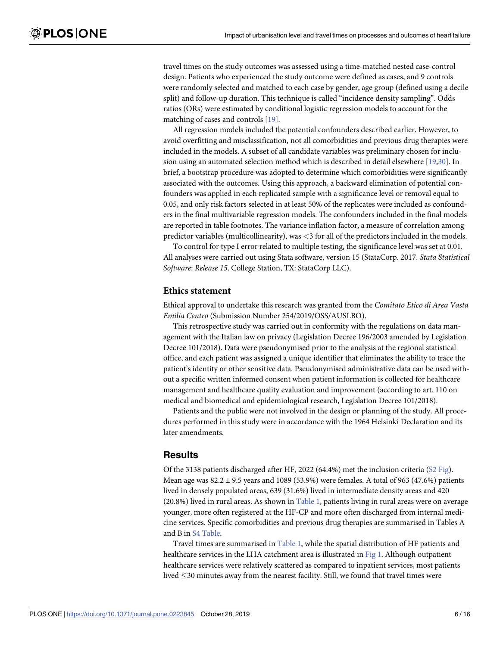<span id="page-5-0"></span>travel times on the study outcomes was assessed using a time-matched nested case-control design. Patients who experienced the study outcome were defined as cases, and 9 controls were randomly selected and matched to each case by gender, age group (defined using a decile split) and follow-up duration. This technique is called "incidence density sampling". Odds ratios (ORs) were estimated by conditional logistic regression models to account for the matching of cases and controls [[19](#page-14-0)].

All regression models included the potential confounders described earlier. However, to avoid overfitting and misclassification, not all comorbidities and previous drug therapies were included in the models. A subset of all candidate variables was preliminary chosen for inclusion using an automated selection method which is described in detail elsewhere [[19](#page-14-0),[30\]](#page-14-0). In brief, a bootstrap procedure was adopted to determine which comorbidities were significantly associated with the outcomes. Using this approach, a backward elimination of potential confounders was applied in each replicated sample with a significance level or removal equal to 0.05, and only risk factors selected in at least 50% of the replicates were included as confounders in the final multivariable regression models. The confounders included in the final models are reported in table footnotes. The variance inflation factor, a measure of correlation among predictor variables (multicollinearity), was *<*3 for all of the predictors included in the models.

To control for type I error related to multiple testing, the significance level was set at 0.01. All analyses were carried out using Stata software, version 15 (StataCorp. 2017. *Stata Statistical Software*: *Release 15*. College Station, TX: StataCorp LLC).

#### **Ethics statement**

Ethical approval to undertake this research was granted from the *Comitato Etico di Area Vasta Emilia Centro* (Submission Number 254/2019/OSS/AUSLBO).

This retrospective study was carried out in conformity with the regulations on data management with the Italian law on privacy (Legislation Decree 196/2003 amended by Legislation Decree 101/2018). Data were pseudonymised prior to the analysis at the regional statistical office, and each patient was assigned a unique identifier that eliminates the ability to trace the patient's identity or other sensitive data. Pseudonymised administrative data can be used without a specific written informed consent when patient information is collected for healthcare management and healthcare quality evaluation and improvement (according to art. 110 on medical and biomedical and epidemiological research, Legislation Decree 101/2018).

Patients and the public were not involved in the design or planning of the study. All procedures performed in this study were in accordance with the 1964 Helsinki Declaration and its later amendments.

# **Results**

Of the 3138 patients discharged after HF, 2022 (64.4%) met the inclusion criteria (S2 [Fig\)](#page-12-0). Mean age was  $82.2 \pm 9.5$  years and 1089 (53.9%) were females. A total of 963 (47.6%) patients lived in densely populated areas, 639 (31.6%) lived in intermediate density areas and 420 (20.8%) lived in rural areas. As shown in [Table](#page-6-0) 1, patients living in rural areas were on average younger, more often registered at the HF-CP and more often discharged from internal medicine services. Specific comorbidities and previous drug therapies are summarised in Tables A and B in S4 [Table.](#page-12-0)

Travel times are summarised in [Table](#page-6-0) 1, while the spatial distribution of HF patients and healthcare services in the LHA catchment area is illustrated in [Fig](#page-8-0) 1. Although outpatient healthcare services were relatively scattered as compared to inpatient services, most patients lived  $\leq$ 30 minutes away from the nearest facility. Still, we found that travel times were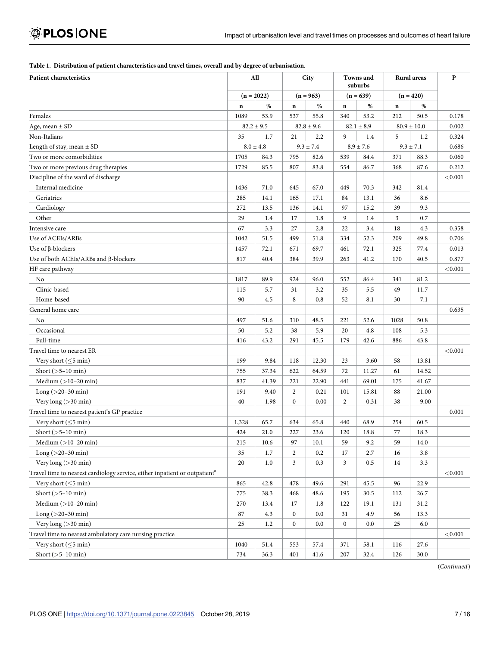#### <span id="page-6-0"></span>**[Table](#page-5-0) 1. Distribution of patient characteristics and travel times, overall and by degree of urbanisation.**

| <b>Patient characteristics</b>                                                         |             | All            |                  | City           |                  | Towns and<br>suburbs |      | Rural areas     |         |
|----------------------------------------------------------------------------------------|-------------|----------------|------------------|----------------|------------------|----------------------|------|-----------------|---------|
|                                                                                        |             | $(n = 2022)$   |                  | $(n = 963)$    |                  | $(n = 639)$          |      | $(n = 420)$     |         |
|                                                                                        | $\mathbf n$ | %              | $\mathbf n$      | %              | n                | %                    | n    | %               |         |
| Females                                                                                | 1089        | 53.9           | 537              | 55.8           | 340              | 53.2                 | 212  | 50.5            | 0.178   |
| Age, mean ± SD                                                                         |             | $82.2 \pm 9.5$ |                  | $82.8 \pm 9.6$ |                  | $82.1 \pm 8.9$       |      | $80.9 \pm 10.0$ | 0.002   |
| Non-Italians                                                                           | 35          | 1.7            | 21               | 2.2            | 9                | 1.4                  | 5    | 1.2             | 0.324   |
| Length of stay, mean $\pm$ SD                                                          |             | $8.0 \pm 4.8$  |                  | $9.3 \pm 7.4$  |                  | $8.9 \pm 7.6$        |      | $9.3 \pm 7.1$   | 0.686   |
| Two or more comorbidities                                                              | 1705        | 84.3           | 795              | 82.6           | 539              | 84.4                 | 371  | 88.3            | 0.060   |
| Two or more previous drug therapies                                                    | 1729        | 85.5           | 807              | 83.8           | 554              | 86.7                 | 368  | 87.6            | 0.212   |
| Discipline of the ward of discharge                                                    |             |                |                  |                |                  |                      |      |                 | < 0.001 |
| Internal medicine                                                                      | 1436        | 71.0           | 645              | 67.0           | 449              | 70.3                 | 342  | 81.4            |         |
| Geriatrics                                                                             | 285         | 14.1           | 165              | 17.1           | 84               | 13.1                 | 36   | 8.6             |         |
| Cardiology                                                                             | 272         | 13.5           | 136              | 14.1           | 97               | 15.2                 | 39   | 9.3             |         |
| Other                                                                                  | 29          | 1.4            | 17               | 1.8            | 9                | 1.4                  | 3    | 0.7             |         |
| Intensive care                                                                         | 67          | 3.3            | 27               | 2.8            | 22               | 3.4                  | 18   | 4.3             | 0.358   |
| Use of ACEIs/ARBs                                                                      | 1042        | 51.5           | 499              | 51.8           | 334              | 52.3                 | 209  | 49.8            | 0.706   |
| Use of <b>ß</b> -blockers                                                              | 1457        | 72.1           | 671              | 69.7           | 461              | 72.1                 | 325  | 77.4            | 0.013   |
| Use of both ACEIs/ARBs and β-blockers                                                  | 817         | 40.4           | 384              | 39.9           | 263              | 41.2                 | 170  | 40.5            | 0.877   |
| HF care pathway                                                                        |             |                |                  |                |                  |                      |      |                 | < 0.001 |
| No                                                                                     | 1817        | 89.9           | 924              | 96.0           | 552              | 86.4                 | 341  | 81.2            |         |
| Clinic-based                                                                           | 115         | 5.7            | 31               | 3.2            | 35               | 5.5                  | 49   | 11.7            |         |
| Home-based                                                                             | 90          | 4.5            | 8                | 0.8            | 52               | 8.1                  | 30   | 7.1             |         |
| General home care                                                                      |             |                |                  |                |                  |                      |      |                 | 0.635   |
| No                                                                                     | 497         | 51.6           | 310              | 48.5           | 221              | 52.6                 | 1028 | 50.8            |         |
| Occasional                                                                             | 50          | 5.2            | 38               | 5.9            | 20               | 4.8                  | 108  | 5.3             |         |
| Full-time                                                                              | 416         | 43.2           | 291              | 45.5           | 179              | 42.6                 | 886  | 43.8            |         |
| Travel time to nearest ER                                                              |             |                |                  |                |                  |                      |      |                 | < 0.001 |
| Very short ( $\leq$ 5 min)                                                             | 199         | 9.84           | 118              | 12.30          | 23               | 3.60                 | 58   | 13.81           |         |
| Short $($ >5-10 min $)$                                                                | 755         | 37.34          | 622              | 64.59          | 72               | 11.27                | 61   | 14.52           |         |
| Medium $(>10-20$ min)                                                                  | 837         | 41.39          | 221              | 22.90          | 441              | 69.01                | 175  | 41.67           |         |
| Long ( $>20-30$ min)                                                                   | 191         | 9.40           | $\overline{2}$   | 0.21           | 101              | 15.81                | 88   | 21.00           |         |
| Very long ( $>$ 30 min)                                                                | 40          | 1.98           | $\boldsymbol{0}$ | 0.00           | $\overline{c}$   | 0.31                 | 38   | 9.00            |         |
| Travel time to nearest patient's GP practice                                           |             |                |                  |                |                  |                      |      |                 | 0.001   |
| Very short ( $\leq$ 5 min)                                                             | 1,328       | 65.7           | 634              | 65.8           | 440              | 68.9                 | 254  | 60.5            |         |
| Short $($ >5-10 min $)$                                                                | 424         | 21.0           | 227              | 23.6           | 120              | 18.8                 | 77   | 18.3            |         |
| Medium $(>10-20$ min)                                                                  | 215         | 10.6           | 97               | 10.1           | 59               | 9.2                  | 59   | 14.0            |         |
| Long $(>20-30$ min)                                                                    | 35          | 1.7            | $\overline{2}$   | 0.2            | 17               | 2.7                  | 16   | 3.8             |         |
| Very long ( $>$ 30 min)                                                                | 20          | 1.0            | $\mathfrak{Z}$   | 0.3            | 3                | 0.5                  | 14   | 3.3             |         |
| Travel time to nearest cardiology service, either inpatient or outpatient <sup>a</sup> |             |                |                  |                |                  |                      |      |                 | < 0.001 |
| Very short ( $\leq$ 5 min)                                                             | 865         | 42.8           | 478              | 49.6           | 291              | 45.5                 | 96   | 22.9            |         |
| Short $($ >5-10 min $)$                                                                | 775         | 38.3           | 468              | 48.6           | 195              | 30.5                 | 112  | 26.7            |         |
| Medium $(>10-20$ min)                                                                  | 270         | 13.4           | 17               | 1.8            | 122              | 19.1                 | 131  | 31.2            |         |
| Long $(>20-30$ min)                                                                    | 87          | 4.3            | $\bf{0}$         | 0.0            | 31               | 4.9                  | 56   | 13.3            |         |
| Very long ( $>$ 30 min)                                                                | 25          | 1.2            | $\bf{0}$         | 0.0            | $\boldsymbol{0}$ | 0.0                  | 25   | 6.0             |         |
| Travel time to nearest ambulatory care nursing practice                                |             |                |                  |                |                  |                      |      |                 | < 0.001 |
| Very short ( $\leq$ 5 min)                                                             | 1040        | 51.4           | 553              | 57.4           | 371              | 58.1                 | 116  | 27.6            |         |
| Short $($ >5-10 min $)$                                                                | 734         | 36.3           | 401              | 41.6           | 207              | 32.4                 | 126  | 30.0            |         |
|                                                                                        |             |                |                  |                |                  |                      |      |                 |         |

(*Continued*)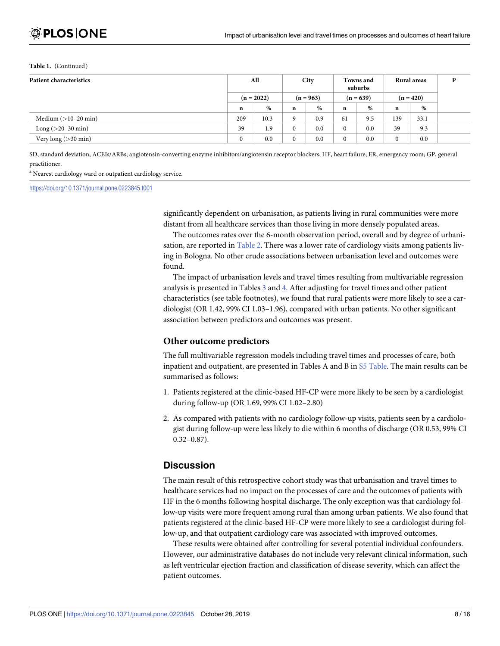#### <span id="page-7-0"></span>**Table 1.** (Continued)

| <b>Patient characteristics</b> | All<br>City  |                             |   | Towns and<br>suburbs |              | <b>Rural</b> areas |              | D           |  |
|--------------------------------|--------------|-----------------------------|---|----------------------|--------------|--------------------|--------------|-------------|--|
|                                |              | $(n = 2022)$<br>$(n = 963)$ |   |                      |              | $(n = 639)$        |              | $(n = 420)$ |  |
|                                | n            | %                           | n | %                    | $\mathbf n$  | %                  | n            | $\%$        |  |
| Medium $(>10-20$ min)          | 209          | 10.3                        | O | 0.9                  | 61           | 9.5                | 139          | 33.1        |  |
| Long $(>20-30$ min)            | 39           | 1.9                         |   | 0.0                  | $\mathbf{0}$ | 0.0                | 39           | 9.3         |  |
| Very long ( $>$ 30 min)        | $\mathbf{0}$ | 0.0                         |   | 0.0                  | $\mathbf{0}$ | 0.0                | $\mathbf{0}$ | 0.0         |  |

SD, standard deviation; ACEIs/ARBs, angiotensin-converting enzyme inhibitors/angiotensin receptor blockers; HF, heart failure; ER, emergency room; GP, general practitioner.

<sup>a</sup> Nearest cardiology ward or outpatient cardiology service.

<https://doi.org/10.1371/journal.pone.0223845.t001>

significantly dependent on urbanisation, as patients living in rural communities were more distant from all healthcare services than those living in more densely populated areas.

The outcomes rates over the 6-month observation period, overall and by degree of urbanisation, are reported in [Table](#page-9-0) 2. There was a lower rate of cardiology visits among patients living in Bologna. No other crude associations between urbanisation level and outcomes were found.

The impact of urbanisation levels and travel times resulting from multivariable regression analysis is presented in Tables [3](#page-9-0) and [4](#page-10-0). After adjusting for travel times and other patient characteristics (see table footnotes), we found that rural patients were more likely to see a cardiologist (OR 1.42, 99% CI 1.03–1.96), compared with urban patients. No other significant association between predictors and outcomes was present.

#### **Other outcome predictors**

The full multivariable regression models including travel times and processes of care, both inpatient and outpatient, are presented in Tables A and B in  $S5$  [Table.](#page-12-0) The main results can be summarised as follows:

- 1. Patients registered at the clinic-based HF-CP were more likely to be seen by a cardiologist during follow-up (OR 1.69, 99% CI 1.02–2.80)
- 2. As compared with patients with no cardiology follow-up visits, patients seen by a cardiologist during follow-up were less likely to die within 6 months of discharge (OR 0.53, 99% CI 0.32–0.87).

### **Discussion**

The main result of this retrospective cohort study was that urbanisation and travel times to healthcare services had no impact on the processes of care and the outcomes of patients with HF in the 6 months following hospital discharge. The only exception was that cardiology follow-up visits were more frequent among rural than among urban patients. We also found that patients registered at the clinic-based HF-CP were more likely to see a cardiologist during follow-up, and that outpatient cardiology care was associated with improved outcomes.

These results were obtained after controlling for several potential individual confounders. However, our administrative databases do not include very relevant clinical information, such as left ventricular ejection fraction and classification of disease severity, which can affect the patient outcomes.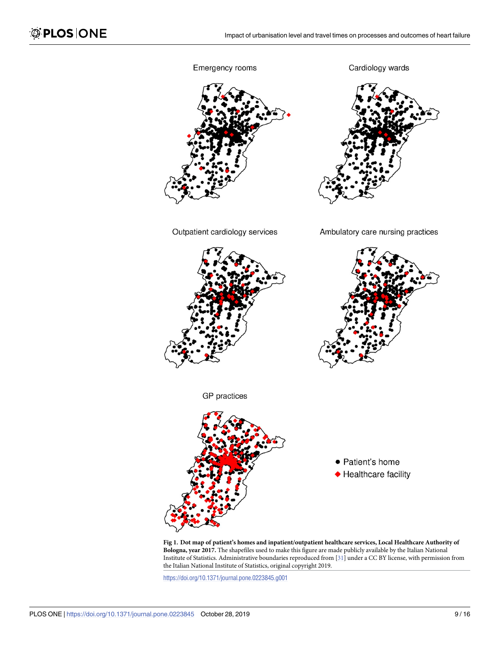<span id="page-8-0"></span>

Cardiology wards



Outpatient cardiology services

Ambulatory care nursing practices





GP practices



**[Fig](#page-5-0) 1. Dot map of patient's homes and inpatient/outpatient healthcare services, Local Healthcare Authority of Bologna, year 2017.** The shapefiles used to make this figure are made publicly available by the Italian National Institute of Statistics. Administrative boundaries reproduced from [\[31](#page-14-0)] under a CC BY license, with permission from the Italian National Institute of Statistics, original copyright 2019.

<https://doi.org/10.1371/journal.pone.0223845.g001>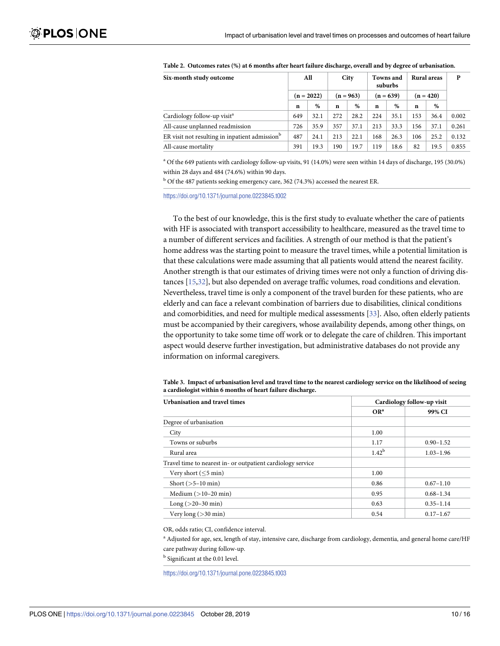| Six-month study outcome                                    | All          |      |             | City |             | Towns and<br>suburbs |             | Rural areas | P     |
|------------------------------------------------------------|--------------|------|-------------|------|-------------|----------------------|-------------|-------------|-------|
|                                                            | $(n = 2022)$ |      | $(n = 963)$ |      | $(n = 639)$ |                      | $(n = 420)$ |             |       |
|                                                            | n            | %    | $\mathbf n$ | %    | $\mathbf n$ | %                    | n           | %           |       |
| Cardiology follow-up visit <sup>a</sup>                    | 649          | 32.1 | 272         | 28.2 | 224         | 35.1                 | 153         | 36.4        | 0.002 |
| All-cause unplanned readmission                            | 726          | 35.9 | 357         | 37.1 | 213         | 33.3                 | 156         | 37.1        | 0.261 |
| ER visit not resulting in inpatient admission <sup>b</sup> | 487          | 24.1 | 213         | 22.1 | 168         | 26.3                 | 106         | 25.2        | 0.132 |
| All-cause mortality                                        | 391          | 19.3 | 190         | 19.7 | 119         | 18.6                 | 82          | 19.5        | 0.855 |

<span id="page-9-0"></span>[Table](#page-7-0) 2. Outcomes rates (%) at 6 months after heart failure discharge, overall and by degree of urbanisation.

<sup>a</sup> Of the 649 patients with cardiology follow-up visits, 91 (14.0%) were seen within 14 days of discharge, 195 (30.0%) within 28 days and 484 (74.6%) within 90 days.

 $<sup>b</sup>$  Of the 487 patients seeking emergency care, 362 (74.3%) accessed the nearest ER.</sup>

<https://doi.org/10.1371/journal.pone.0223845.t002>

To the best of our knowledge, this is the first study to evaluate whether the care of patients with HF is associated with transport accessibility to healthcare, measured as the travel time to a number of different services and facilities. A strength of our method is that the patient's home address was the starting point to measure the travel times, while a potential limitation is that these calculations were made assuming that all patients would attend the nearest facility. Another strength is that our estimates of driving times were not only a function of driving distances [[15](#page-13-0)[,32\]](#page-14-0), but also depended on average traffic volumes, road conditions and elevation. Nevertheless, travel time is only a component of the travel burden for these patients, who are elderly and can face a relevant combination of barriers due to disabilities, clinical conditions and comorbidities, and need for multiple medical assessments [\[33\]](#page-14-0). Also, often elderly patients must be accompanied by their caregivers, whose availability depends, among other things, on the opportunity to take some time off work or to delegate the care of children. This important aspect would deserve further investigation, but administrative databases do not provide any information on informal caregivers.

| Urbanisation and travel times                               | Cardiology follow-up visit |               |  |  |  |  |
|-------------------------------------------------------------|----------------------------|---------------|--|--|--|--|
|                                                             | OR <sup>a</sup>            | 99% CI        |  |  |  |  |
| Degree of urbanisation                                      |                            |               |  |  |  |  |
| City                                                        | 1.00                       |               |  |  |  |  |
| Towns or suburbs                                            | 1.17                       | $0.90 - 1.52$ |  |  |  |  |
| Rural area                                                  | $1.42^{\rm b}$             | $1.03 - 1.96$ |  |  |  |  |
| Travel time to nearest in- or outpatient cardiology service |                            |               |  |  |  |  |
| Very short $(<5$ min)                                       | 1.00                       |               |  |  |  |  |
| Short $($ >5-10 min $)$                                     | 0.86                       | $0.67 - 1.10$ |  |  |  |  |
| Medium $(>10-20$ min)                                       | 0.95                       | $0.68 - 1.34$ |  |  |  |  |
| Long $(>20-30 \text{ min})$                                 | 0.63                       | $0.35 - 1.14$ |  |  |  |  |
| Very long $(>30 \text{ min})$                               | 0.54                       | $0.17 - 1.67$ |  |  |  |  |

[Table](#page-7-0) 3. Impact of urbanisation level and travel time to the nearest cardiology service on the likelihood of seeing **a cardiologist within 6 months of heart failure discharge.**

OR, odds ratio; CI, confidence interval.

<sup>a</sup> Adjusted for age, sex, length of stay, intensive care, discharge from cardiology, dementia, and general home care/HF care pathway during follow-up.

<sup>b</sup> Significant at the 0.01 level.

<https://doi.org/10.1371/journal.pone.0223845.t003>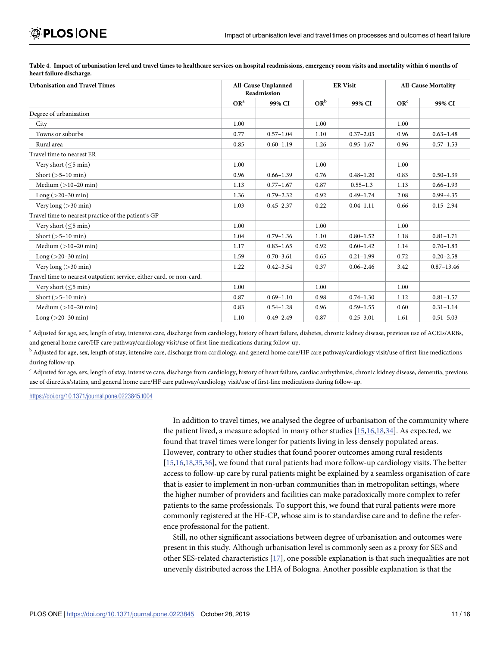| <b>Urbanisation and Travel Times</b>                                 |                 | <b>All-Cause Unplanned</b><br>Readmission |      | <b>ER Visit</b> | <b>All-Cause Mortality</b> |                |  |
|----------------------------------------------------------------------|-----------------|-------------------------------------------|------|-----------------|----------------------------|----------------|--|
|                                                                      | OR <sup>a</sup> | 99% CI                                    |      | 99% CI          | OR <sup>c</sup>            | 99% CI         |  |
| Degree of urbanisation                                               |                 |                                           |      |                 |                            |                |  |
| City                                                                 | 1.00            |                                           | 1.00 |                 | 1.00                       |                |  |
| Towns or suburbs                                                     | 0.77            | $0.57 - 1.04$                             | 1.10 | $0.37 - 2.03$   | 0.96                       | $0.63 - 1.48$  |  |
| Rural area                                                           | 0.85            | $0.60 - 1.19$                             | 1.26 | $0.95 - 1.67$   | 0.96                       | $0.57 - 1.53$  |  |
| Travel time to nearest ER                                            |                 |                                           |      |                 |                            |                |  |
| Very short $(<5$ min)                                                | 1.00            |                                           | 1.00 |                 | 1.00                       |                |  |
| Short $($ >5-10 min $)$                                              | 0.96            | $0.66 - 1.39$                             | 0.76 | $0.48 - 1.20$   | 0.83                       | $0.50 - 1.39$  |  |
| Medium $(>10-20$ min)                                                | 1.13            | $0.77 - 1.67$                             | 0.87 | $0.55 - 1.3$    | 1.13                       | $0.66 - 1.93$  |  |
| Long $(>20-30 \text{ min})$                                          | 1.36            | $0.79 - 2.32$                             | 0.92 | $0.49 - 1.74$   | 2.08                       | $0.99 - 4.35$  |  |
| Very long ( $>$ 30 min)                                              | 1.03            | $0.45 - 2.37$                             | 0.22 | $0.04 - 1.11$   | 0.66                       | $0.15 - 2.94$  |  |
| Travel time to nearest practice of the patient's GP                  |                 |                                           |      |                 |                            |                |  |
| Very short $(<5$ min)                                                | 1.00            |                                           | 1.00 |                 | 1.00                       |                |  |
| Short $($ >5-10 min $)$                                              | 1.04            | $0.79 - 1.36$                             | 1.10 | $0.80 - 1.52$   | 1.18                       | $0.81 - 1.71$  |  |
| Medium $(>10-20$ min)                                                | 1.17            | $0.83 - 1.65$                             | 0.92 | $0.60 - 1.42$   | 1.14                       | $0.70 - 1.83$  |  |
| Long $(>20-30 \text{ min})$                                          | 1.59            | $0.70 - 3.61$                             | 0.65 | $0.21 - 1.99$   | 0.72                       | $0.20 - 2.58$  |  |
| Very long $(>30 \text{ min})$                                        | 1.22            | $0.42 - 3.54$                             | 0.37 | $0.06 - 2.46$   | 3.42                       | $0.87 - 13.46$ |  |
| Travel time to nearest outpatient service, either card. or non-card. |                 |                                           |      |                 |                            |                |  |
| Very short $(<5$ min)                                                | 1.00            |                                           | 1.00 |                 | 1.00                       |                |  |
| Short $($ >5-10 min $)$                                              | 0.87            | $0.69 - 1.10$                             | 0.98 | $0.74 - 1.30$   | 1.12                       | $0.81 - 1.57$  |  |
| Medium $(>10-20$ min)                                                | 0.83            | $0.54 - 1.28$                             | 0.96 | $0.59 - 1.55$   | 0.60                       | $0.31 - 1.14$  |  |
| Long $(>20-30 \text{ min})$                                          | 1.10            | $0.49 - 2.49$                             | 0.87 | $0.25 - 3.01$   | 1.61                       | $0.51 - 5.03$  |  |

<span id="page-10-0"></span>[Table](#page-7-0) 4. Impact of urbanisation level and travel times to healthcare services on hospital readmissions, emergency room visits and mortality within 6 months of **heart failure discharge.**

<sup>a</sup> Adjusted for age, sex, length of stay, intensive care, discharge from cardiology, history of heart failure, diabetes, chronic kidney disease, previous use of ACEIs/ARBs, and general home care/HF care pathway/cardiology visit/use of first-line medications during follow-up.

<sup>b</sup> Adjusted for age, sex, length of stay, intensive care, discharge from cardiology, and general home care/HF care pathway/cardiology visit/use of first-line medications during follow-up.

<sup>c</sup> Adjusted for age, sex, length of stay, intensive care, discharge from cardiology, history of heart failure, cardiac arrhythmias, chronic kidney disease, dementia, previous use of diuretics/statins, and general home care/HF care pathway/cardiology visit/use of first-line medications during follow-up.

<https://doi.org/10.1371/journal.pone.0223845.t004>

In addition to travel times, we analysed the degree of urbanisation of the community where the patient lived, a measure adopted in many other studies [\[15,](#page-13-0)[16](#page-14-0),[18,34\]](#page-14-0). As expected, we found that travel times were longer for patients living in less densely populated areas. However, contrary to other studies that found poorer outcomes among rural residents [\[15](#page-13-0)[,16,18](#page-14-0),[35](#page-14-0)[,36\]](#page-15-0), we found that rural patients had more follow-up cardiology visits. The better access to follow-up care by rural patients might be explained by a seamless organisation of care that is easier to implement in non-urban communities than in metropolitan settings, where the higher number of providers and facilities can make paradoxically more complex to refer patients to the same professionals. To support this, we found that rural patients were more commonly registered at the HF-CP, whose aim is to standardise care and to define the reference professional for the patient.

Still, no other significant associations between degree of urbanisation and outcomes were present in this study. Although urbanisation level is commonly seen as a proxy for SES and other SES-related characteristics [\[17\]](#page-14-0), one possible explanation is that such inequalities are not unevenly distributed across the LHA of Bologna. Another possible explanation is that the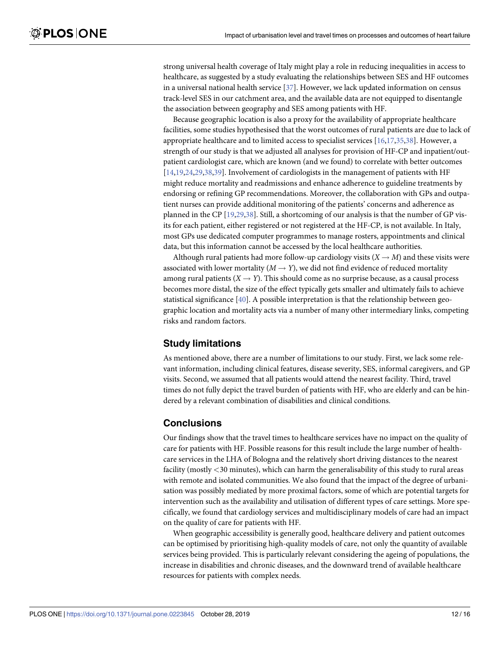<span id="page-11-0"></span>strong universal health coverage of Italy might play a role in reducing inequalities in access to healthcare, as suggested by a study evaluating the relationships between SES and HF outcomes in a universal national health service [\[37\]](#page-15-0). However, we lack updated information on census track-level SES in our catchment area, and the available data are not equipped to disentangle the association between geography and SES among patients with HF.

Because geographic location is also a proxy for the availability of appropriate healthcare facilities, some studies hypothesised that the worst outcomes of rural patients are due to lack of appropriate healthcare and to limited access to specialist services [[16,17,35,](#page-14-0)[38](#page-15-0)]. However, a strength of our study is that we adjusted all analyses for provision of HF-CP and inpatient/outpatient cardiologist care, which are known (and we found) to correlate with better outcomes [\[14](#page-13-0)[,19,24](#page-14-0),[29](#page-14-0)[,38,39\]](#page-15-0). Involvement of cardiologists in the management of patients with HF might reduce mortality and readmissions and enhance adherence to guideline treatments by endorsing or refining GP recommendations. Moreover, the collaboration with GPs and outpatient nurses can provide additional monitoring of the patients' concerns and adherence as planned in the CP [[19,29,](#page-14-0)[38\]](#page-15-0). Still, a shortcoming of our analysis is that the number of GP visits for each patient, either registered or not registered at the HF-CP, is not available. In Italy, most GPs use dedicated computer programmes to manage rosters, appointments and clinical data, but this information cannot be accessed by the local healthcare authorities.

Although rural patients had more follow-up cardiology visits  $(X \rightarrow M)$  and these visits were associated with lower mortality  $(M \rightarrow Y)$ , we did not find evidence of reduced mortality among rural patients  $(X \to Y)$ . This should come as no surprise because, as a causal process becomes more distal, the size of the effect typically gets smaller and ultimately fails to achieve statistical significance [[40](#page-15-0)]. A possible interpretation is that the relationship between geographic location and mortality acts via a number of many other intermediary links, competing risks and random factors.

# **Study limitations**

As mentioned above, there are a number of limitations to our study. First, we lack some relevant information, including clinical features, disease severity, SES, informal caregivers, and GP visits. Second, we assumed that all patients would attend the nearest facility. Third, travel times do not fully depict the travel burden of patients with HF, who are elderly and can be hindered by a relevant combination of disabilities and clinical conditions.

# **Conclusions**

Our findings show that the travel times to healthcare services have no impact on the quality of care for patients with HF. Possible reasons for this result include the large number of healthcare services in the LHA of Bologna and the relatively short driving distances to the nearest facility (mostly *<*30 minutes), which can harm the generalisability of this study to rural areas with remote and isolated communities. We also found that the impact of the degree of urbanisation was possibly mediated by more proximal factors, some of which are potential targets for intervention such as the availability and utilisation of different types of care settings. More specifically, we found that cardiology services and multidisciplinary models of care had an impact on the quality of care for patients with HF.

When geographic accessibility is generally good, healthcare delivery and patient outcomes can be optimised by prioritising high-quality models of care, not only the quantity of available services being provided. This is particularly relevant considering the ageing of populations, the increase in disabilities and chronic diseases, and the downward trend of available healthcare resources for patients with complex needs.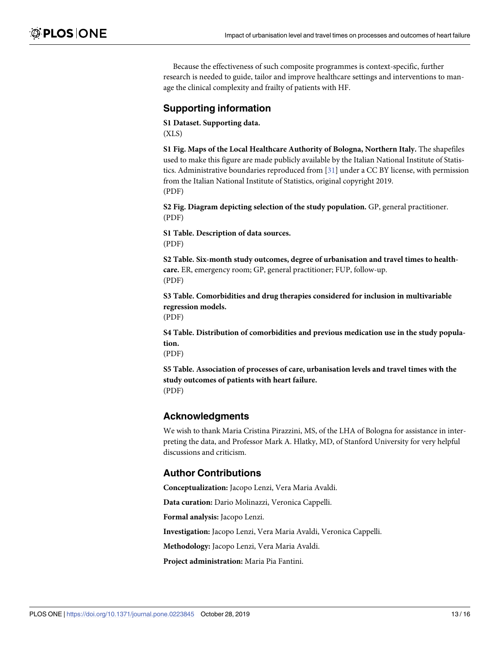<span id="page-12-0"></span>Because the effectiveness of such composite programmes is context-specific, further research is needed to guide, tailor and improve healthcare settings and interventions to manage the clinical complexity and frailty of patients with HF.

## **Supporting information**

**S1 [Dataset.](http://www.plosone.org/article/fetchSingleRepresentation.action?uri=info:doi/10.1371/journal.pone.0223845.s001) Supporting data.** (XLS)

**S1 [Fig](http://www.plosone.org/article/fetchSingleRepresentation.action?uri=info:doi/10.1371/journal.pone.0223845.s002). Maps of the Local Healthcare Authority of Bologna, Northern Italy.** The shapefiles used to make this figure are made publicly available by the Italian National Institute of Statistics. Administrative boundaries reproduced from [\[31\]](#page-14-0) under a CC BY license, with permission from the Italian National Institute of Statistics, original copyright 2019. (PDF)

**S2 [Fig](http://www.plosone.org/article/fetchSingleRepresentation.action?uri=info:doi/10.1371/journal.pone.0223845.s003). Diagram depicting selection of the study population.** GP, general practitioner. (PDF)

**S1 [Table.](http://www.plosone.org/article/fetchSingleRepresentation.action?uri=info:doi/10.1371/journal.pone.0223845.s004) Description of data sources.** (PDF)

**S2 [Table.](http://www.plosone.org/article/fetchSingleRepresentation.action?uri=info:doi/10.1371/journal.pone.0223845.s005) Six-month study outcomes, degree of urbanisation and travel times to healthcare.** ER, emergency room; GP, general practitioner; FUP, follow-up. (PDF)

**S3 [Table.](http://www.plosone.org/article/fetchSingleRepresentation.action?uri=info:doi/10.1371/journal.pone.0223845.s006) Comorbidities and drug therapies considered for inclusion in multivariable regression models.**

(PDF)

**S4 [Table.](http://www.plosone.org/article/fetchSingleRepresentation.action?uri=info:doi/10.1371/journal.pone.0223845.s007) Distribution of comorbidities and previous medication use in the study population.**

(PDF)

**S5 [Table.](http://www.plosone.org/article/fetchSingleRepresentation.action?uri=info:doi/10.1371/journal.pone.0223845.s008) Association of processes of care, urbanisation levels and travel times with the study outcomes of patients with heart failure.** (PDF)

## **Acknowledgments**

We wish to thank Maria Cristina Pirazzini, MS, of the LHA of Bologna for assistance in interpreting the data, and Professor Mark A. Hlatky, MD, of Stanford University for very helpful discussions and criticism.

# **Author Contributions**

**Conceptualization:** Jacopo Lenzi, Vera Maria Avaldi.

**Data curation:** Dario Molinazzi, Veronica Cappelli.

**Formal analysis:** Jacopo Lenzi.

**Investigation:** Jacopo Lenzi, Vera Maria Avaldi, Veronica Cappelli.

**Methodology:** Jacopo Lenzi, Vera Maria Avaldi.

**Project administration:** Maria Pia Fantini.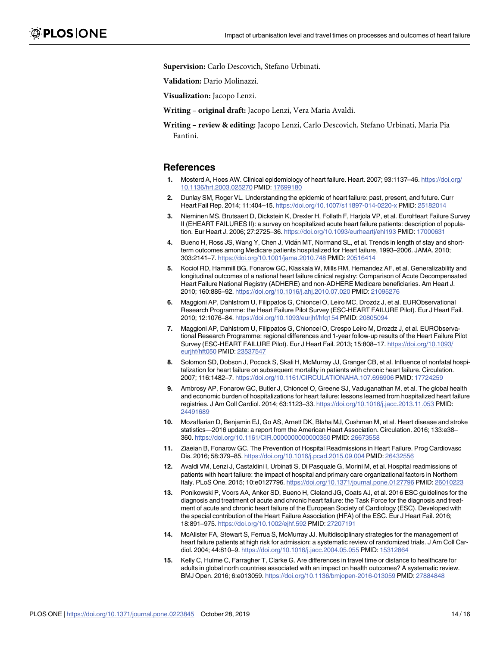<span id="page-13-0"></span>**Supervision:** Carlo Descovich, Stefano Urbinati.

**Validation:** Dario Molinazzi.

**Visualization:** Jacopo Lenzi.

**Writing – original draft:** Jacopo Lenzi, Vera Maria Avaldi.

**Writing – review & editing:** Jacopo Lenzi, Carlo Descovich, Stefano Urbinati, Maria Pia Fantini.

#### **References**

- **[1](#page-1-0).** Mosterd A, Hoes AW. Clinical epidemiology of heart failure. Heart. 2007; 93:1137–46. [https://doi.org/](https://doi.org/10.1136/hrt.2003.025270) [10.1136/hrt.2003.025270](https://doi.org/10.1136/hrt.2003.025270) PMID: [17699180](http://www.ncbi.nlm.nih.gov/pubmed/17699180)
- **[2](#page-1-0).** Dunlay SM, Roger VL. Understanding the epidemic of heart failure: past, present, and future. Curr Heart Fail Rep. 2014; 11:404–15. <https://doi.org/10.1007/s11897-014-0220-x> PMID: [25182014](http://www.ncbi.nlm.nih.gov/pubmed/25182014)
- **[3](#page-1-0).** Nieminen MS, Brutsaert D, Dickstein K, Drexler H, Follath F, Harjola VP, et al. EuroHeart Failure Survey II (EHEART FAILURES II): a survey on hospitalized acute heart failure patients: description of population. Eur Heart J. 2006; 27:2725–36. <https://doi.org/10.1093/eurheartj/ehl193> PMID: [17000631](http://www.ncbi.nlm.nih.gov/pubmed/17000631)
- **4.** Bueno H, Ross JS, Wang Y, Chen J, Vidán MT, Normand SL, et al. Trends in length of stay and shortterm outcomes among Medicare patients hospitalized for Heart failure, 1993–2006. JAMA. 2010; 303:2141–7. <https://doi.org/10.1001/jama.2010.748> PMID: [20516414](http://www.ncbi.nlm.nih.gov/pubmed/20516414)
- **5.** Kociol RD, Hammill BG, Fonarow GC, Klaskala W, Mills RM, Hernandez AF, et al. Generalizability and longitudinal outcomes of a national heart failure clinical registry: Comparison of Acute Decompensated Heart Failure National Registry (ADHERE) and non-ADHERE Medicare beneficiaries. Am Heart J. 2010; 160:885–92. <https://doi.org/10.1016/j.ahj.2010.07.020> PMID: [21095276](http://www.ncbi.nlm.nih.gov/pubmed/21095276)
- **6.** Maggioni AP, Dahlstrom U, Filippatos G, Chioncel O, Leiro MC, Drozdz J, et al. EURObservational Research Programme: the Heart Failure Pilot Survey (ESC-HEART FAILURE Pilot). Eur J Heart Fail. 2010; 12:1076–84. <https://doi.org/10.1093/eurjhf/hfq154> PMID: [20805094](http://www.ncbi.nlm.nih.gov/pubmed/20805094)
- **7.** Maggioni AP, Dahlstrom U, Filippatos G, Chioncel O, Crespo Leiro M, Drozdz J, et al. EURObservational Research Programme: regional differences and 1-year follow-up results of the Heart Failure Pilot Survey (ESC-HEART FAILURE Pilot). Eur J Heart Fail. 2013; 15:808–17. [https://doi.org/10.1093/](https://doi.org/10.1093/eurjhf/hft050) [eurjhf/hft050](https://doi.org/10.1093/eurjhf/hft050) PMID: [23537547](http://www.ncbi.nlm.nih.gov/pubmed/23537547)
- **[8](#page-1-0).** Solomon SD, Dobson J, Pocock S, Skali H, McMurray JJ, Granger CB, et al. Influence of nonfatal hospitalization for heart failure on subsequent mortality in patients with chronic heart failure. Circulation. 2007; 116:1482–7. <https://doi.org/10.1161/CIRCULATIONAHA.107.696906> PMID: [17724259](http://www.ncbi.nlm.nih.gov/pubmed/17724259)
- **[9](#page-1-0).** Ambrosy AP, Fonarow GC, Butler J, Chioncel O, Greene SJ, Vaduganathan M, et al. The global health and economic burden of hospitalizations for heart failure: lessons learned from hospitalized heart failure registries. J Am Coll Cardiol. 2014; 63:1123–33. <https://doi.org/10.1016/j.jacc.2013.11.053> PMID: [24491689](http://www.ncbi.nlm.nih.gov/pubmed/24491689)
- **[10](#page-1-0).** Mozaffarian D, Benjamin EJ, Go AS, Arnett DK, Blaha MJ, Cushman M, et al. Heart disease and stroke statistics—2016 update: a report from the American Heart Association. Circulation. 2016; 133:e38– 360. <https://doi.org/10.1161/CIR.0000000000000350> PMID: [26673558](http://www.ncbi.nlm.nih.gov/pubmed/26673558)
- **[11](#page-1-0).** Ziaeian B, Fonarow GC. The Prevention of Hospital Readmissions in Heart Failure. Prog Cardiovasc Dis. 2016; 58:379–85. <https://doi.org/10.1016/j.pcad.2015.09.004> PMID: [26432556](http://www.ncbi.nlm.nih.gov/pubmed/26432556)
- **[12](#page-1-0).** Avaldi VM, Lenzi J, Castaldini I, Urbinati S, Di Pasquale G, Morini M, et al. Hospital readmissions of patients with heart failure: the impact of hospital and primary care organizational factors in Northern Italy. PLoS One. 2015; 10:e0127796. <https://doi.org/10.1371/journal.pone.0127796> PMID: [26010223](http://www.ncbi.nlm.nih.gov/pubmed/26010223)
- **[13](#page-1-0).** Ponikowski P, Voors AA, Anker SD, Bueno H, Cleland JG, Coats AJ, et al. 2016 ESC guidelines for the diagnosis and treatment of acute and chronic heart failure: the Task Force for the diagnosis and treatment of acute and chronic heart failure of the European Society of Cardiology (ESC). Developed with the special contribution of the Heart Failure Association (HFA) of the ESC. Eur J Heart Fail. 2016; 18:891–975. <https://doi.org/10.1002/ejhf.592> PMID: [27207191](http://www.ncbi.nlm.nih.gov/pubmed/27207191)
- **[14](#page-1-0).** McAlister FA, Stewart S, Ferrua S, McMurray JJ. Multidisciplinary strategies for the management of heart failure patients at high risk for admission: a systematic review of randomized trials. J Am Coll Cardiol. 2004; 44:810–9. <https://doi.org/10.1016/j.jacc.2004.05.055> PMID: [15312864](http://www.ncbi.nlm.nih.gov/pubmed/15312864)
- **[15](#page-1-0).** Kelly C, Hulme C, Farragher T, Clarke G. Are differences in travel time or distance to healthcare for adults in global north countries associated with an impact on health outcomes? A systematic review. BMJ Open. 2016; 6:e013059. <https://doi.org/10.1136/bmjopen-2016-013059> PMID: [27884848](http://www.ncbi.nlm.nih.gov/pubmed/27884848)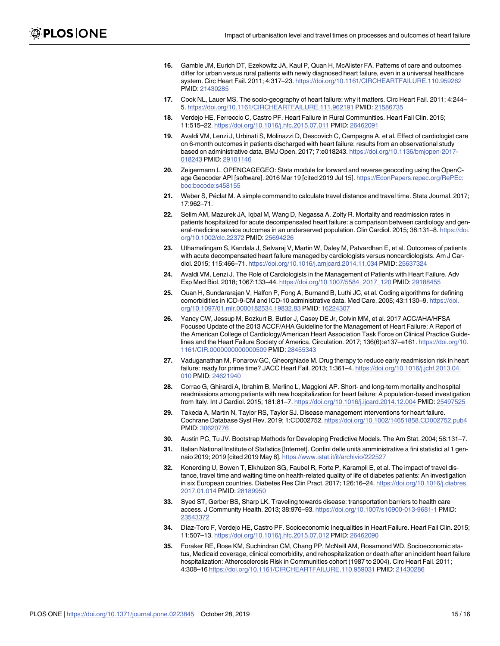- <span id="page-14-0"></span>**[16](#page-1-0).** Gamble JM, Eurich DT, Ezekowitz JA, Kaul P, Quan H, McAlister FA. Patterns of care and outcomes differ for urban versus rural patients with newly diagnosed heart failure, even in a universal healthcare system. Circ Heart Fail. 2011; 4:317–23. <https://doi.org/10.1161/CIRCHEARTFAILURE.110.959262> PMID: [21430285](http://www.ncbi.nlm.nih.gov/pubmed/21430285)
- **[17](#page-10-0).** Cook NL, Lauer MS. The socio-geography of heart failure: why it matters. Circ Heart Fail. 2011; 4:244– 5. <https://doi.org/10.1161/CIRCHEARTFAILURE.111.962191> PMID: [21586735](http://www.ncbi.nlm.nih.gov/pubmed/21586735)
- **[18](#page-1-0).** Verdejo HE, Ferreccio C, Castro PF. Heart Failure in Rural Communities. Heart Fail Clin. 2015; 11:515–22. <https://doi.org/10.1016/j.hfc.2015.07.011> PMID: [26462091](http://www.ncbi.nlm.nih.gov/pubmed/26462091)
- **[19](#page-2-0).** Avaldi VM, Lenzi J, Urbinati S, Molinazzi D, Descovich C, Campagna A, et al. Effect of cardiologist care on 6-month outcomes in patients discharged with heart failure: results from an observational study based on administrative data. BMJ Open. 2017; 7:e018243. [https://doi.org/10.1136/bmjopen-2017-](https://doi.org/10.1136/bmjopen-2017-018243) [018243](https://doi.org/10.1136/bmjopen-2017-018243) PMID: [29101146](http://www.ncbi.nlm.nih.gov/pubmed/29101146)
- **[20](#page-3-0).** Zeigermann L. OPENCAGEGEO: Stata module for forward and reverse geocoding using the OpenCage Geocoder API [software]. 2016 Mar 19 [cited 2019 Jul 15]. [https://EconPapers.repec.org/RePEc:](https://EconPapers.repec.org/RePEc:boc:bocode:s458155) [boc:bocode:s458155](https://EconPapers.repec.org/RePEc:boc:bocode:s458155)
- **[21](#page-3-0).** Weber S, Pe´clat M. A simple command to calculate travel distance and travel time. Stata Journal. 2017; 17:962–71.
- **[22](#page-3-0).** Selim AM, Mazurek JA, Iqbal M, Wang D, Negassa A, Zolty R. Mortality and readmission rates in patients hospitalized for acute decompensated heart failure: a comparison between cardiology and general-medicine service outcomes in an underserved population. Clin Cardiol. 2015; 38:131–8. [https://doi.](https://doi.org/10.1002/clc.22372) [org/10.1002/clc.22372](https://doi.org/10.1002/clc.22372) PMID: [25694226](http://www.ncbi.nlm.nih.gov/pubmed/25694226)
- **23.** Uthamalingam S, Kandala J, Selvaraj V, Martin W, Daley M, Patvardhan E, et al. Outcomes of patients with acute decompensated heart failure managed by cardiologists versus noncardiologists. Am J Cardiol. 2015; 115:466–71. <https://doi.org/10.1016/j.amjcard.2014.11.034> PMID: [25637324](http://www.ncbi.nlm.nih.gov/pubmed/25637324)
- **[24](#page-3-0).** Avaldi VM, Lenzi J. The Role of Cardiologists in the Management of Patients with Heart Failure. Adv Exp Med Biol. 2018; 1067:133–44. [https://doi.org/10.1007/5584\\_2017\\_120](https://doi.org/10.1007/5584_2017_120) PMID: [29188455](http://www.ncbi.nlm.nih.gov/pubmed/29188455)
- **[25](#page-4-0).** Quan H, Sundararajan V, Halfon P, Fong A, Burnand B, Luthi JC, et al. Coding algorithms for defining comorbidities in ICD-9-CM and ICD-10 administrative data. Med Care. 2005; 43:1130–9. [https://doi.](https://doi.org/10.1097/01.mlr.0000182534.19832.83) [org/10.1097/01.mlr.0000182534.19832.83](https://doi.org/10.1097/01.mlr.0000182534.19832.83) PMID: [16224307](http://www.ncbi.nlm.nih.gov/pubmed/16224307)
- **[26](#page-4-0).** Yancy CW, Jessup M, Bozkurt B, Butler J, Casey DE Jr, Colvin MM, et al. 2017 ACC/AHA/HFSA Focused Update of the 2013 ACCF/AHA Guideline for the Management of Heart Failure: A Report of the American College of Cardiology/American Heart Association Task Force on Clinical Practice Guidelines and the Heart Failure Society of America. Circulation. 2017; 136(6):e137–e161. [https://doi.org/10.](https://doi.org/10.1161/CIR.0000000000000509) [1161/CIR.0000000000000509](https://doi.org/10.1161/CIR.0000000000000509) PMID: [28455343](http://www.ncbi.nlm.nih.gov/pubmed/28455343)
- 27. Vaduganathan M, Fonarow GC, Gheorghiade M. Drug therapy to reduce early readmission risk in heart failure: ready for prime time? JACC Heart Fail. 2013; 1:361–4. [https://doi.org/10.1016/j.jchf.2013.04.](https://doi.org/10.1016/j.jchf.2013.04.010) [010](https://doi.org/10.1016/j.jchf.2013.04.010) PMID: [24621940](http://www.ncbi.nlm.nih.gov/pubmed/24621940)
- **28.** Corrao G, Ghirardi A, Ibrahim B, Merlino L, Maggioni AP. Short- and long-term mortality and hospital readmissions among patients with new hospitalization for heart failure: A population-based investigation from Italy. Int J Cardiol. 2015; 181:81–7. <https://doi.org/10.1016/j.ijcard.2014.12.004> PMID: [25497525](http://www.ncbi.nlm.nih.gov/pubmed/25497525)
- **[29](#page-4-0).** Takeda A, Martin N, Taylor RS, Taylor SJ. Disease management interventions for heart failure. Cochrane Database Syst Rev. 2019; 1:CD002752. <https://doi.org/10.1002/14651858.CD002752.pub4> PMID: [30620776](http://www.ncbi.nlm.nih.gov/pubmed/30620776)
- **[30](#page-5-0).** Austin PC, Tu JV. Bootstrap Methods for Developing Predictive Models. The Am Stat. 2004; 58:131–7.
- **[31](#page-8-0).** Italian National Institute of Statistics [Internet]. Confini delle unità amministrative a fini statistici al 1 gennaio 2019; 2019 [cited 2019 May 8]. <https://www.istat.it/it/archivio/222527>
- **[32](#page-9-0).** Konerding U, Bowen T, Elkhuizen SG, Faubel R, Forte P, Karampli E, et al. The impact of travel distance, travel time and waiting time on health-related quality of life of diabetes patients: An investigation in six European countries. Diabetes Res Clin Pract. 2017; 126:16–24. [https://doi.org/10.1016/j.diabres.](https://doi.org/10.1016/j.diabres.2017.01.014) [2017.01.014](https://doi.org/10.1016/j.diabres.2017.01.014) PMID: [28189950](http://www.ncbi.nlm.nih.gov/pubmed/28189950)
- **[33](#page-9-0).** Syed ST, Gerber BS, Sharp LK. Traveling towards disease: transportation barriers to health care access. J Community Health. 2013; 38:976–93. <https://doi.org/10.1007/s10900-013-9681-1> PMID: [23543372](http://www.ncbi.nlm.nih.gov/pubmed/23543372)
- **[34](#page-10-0).** Díaz-Toro F, Verdejo HE, Castro PF. Socioeconomic Inequalities in Heart Failure. Heart Fail Clin. 2015; 11:507–13. <https://doi.org/10.1016/j.hfc.2015.07.012> PMID: [26462090](http://www.ncbi.nlm.nih.gov/pubmed/26462090)
- **[35](#page-10-0).** Foraker RE, Rose KM, Suchindran CM, Chang PP, McNeill AM, Rosamond WD. Socioeconomic status, Medicaid coverage, clinical comorbidity, and rehospitalization or death after an incident heart failure hospitalization: Atherosclerosis Risk in Communities cohort (1987 to 2004). Circ Heart Fail. 2011; 4:308–16 <https://doi.org/10.1161/CIRCHEARTFAILURE.110.959031> PMID: [21430286](http://www.ncbi.nlm.nih.gov/pubmed/21430286)